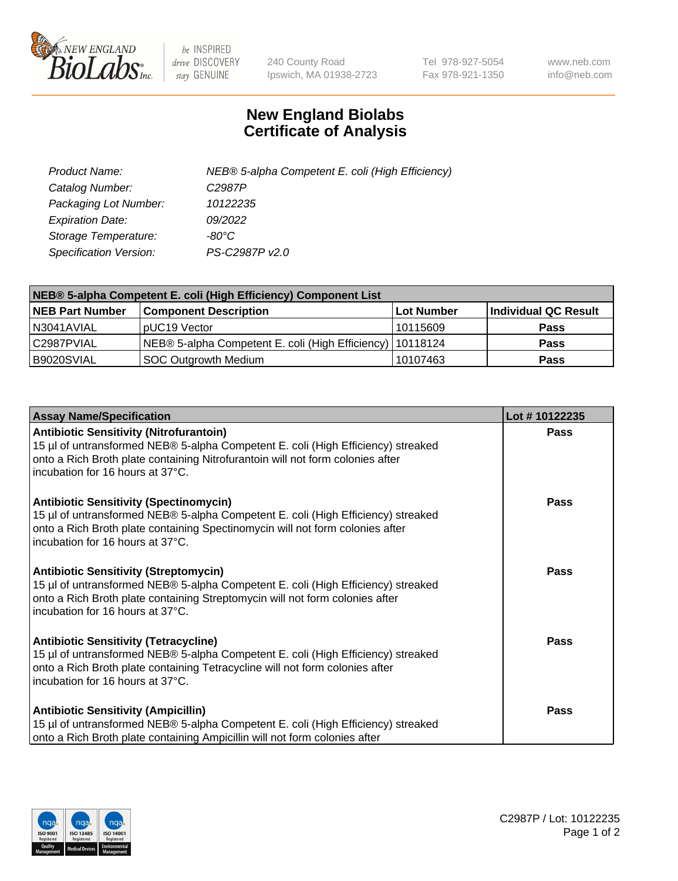

 $be$  INSPIRED drive DISCOVERY stay GENUINE

240 County Road Ipswich, MA 01938-2723 Tel 978-927-5054 Fax 978-921-1350 www.neb.com info@neb.com

## **New England Biolabs Certificate of Analysis**

| Product Name:           | NEB® 5-alpha Competent E. coli (High Efficiency) |
|-------------------------|--------------------------------------------------|
| Catalog Number:         | C <sub>2987</sub> P                              |
| Packaging Lot Number:   | 10122235                                         |
| <b>Expiration Date:</b> | 09/2022                                          |
| Storage Temperature:    | -80°C                                            |
| Specification Version:  | PS-C2987P v2.0                                   |

| NEB® 5-alpha Competent E. coli (High Efficiency) Component List |                                                             |            |                      |  |
|-----------------------------------------------------------------|-------------------------------------------------------------|------------|----------------------|--|
| <b>NEB Part Number</b>                                          | <b>Component Description</b>                                | Lot Number | Individual QC Result |  |
| N3041AVIAL                                                      | pUC19 Vector                                                | 10115609   | <b>Pass</b>          |  |
| C2987PVIAL                                                      | NEB® 5-alpha Competent E. coli (High Efficiency)   10118124 |            | <b>Pass</b>          |  |
| B9020SVIAL                                                      | <b>SOC Outgrowth Medium</b>                                 | 10107463   | <b>Pass</b>          |  |

| <b>Assay Name/Specification</b>                                                                                                                                                                                                                          | Lot #10122235 |
|----------------------------------------------------------------------------------------------------------------------------------------------------------------------------------------------------------------------------------------------------------|---------------|
| <b>Antibiotic Sensitivity (Nitrofurantoin)</b><br>15 µl of untransformed NEB® 5-alpha Competent E. coli (High Efficiency) streaked<br>onto a Rich Broth plate containing Nitrofurantoin will not form colonies after<br>incubation for 16 hours at 37°C. | Pass          |
| <b>Antibiotic Sensitivity (Spectinomycin)</b><br>15 µl of untransformed NEB® 5-alpha Competent E. coli (High Efficiency) streaked<br>onto a Rich Broth plate containing Spectinomycin will not form colonies after<br>incubation for 16 hours at 37°C.   | Pass          |
| <b>Antibiotic Sensitivity (Streptomycin)</b><br>15 µl of untransformed NEB® 5-alpha Competent E. coli (High Efficiency) streaked<br>onto a Rich Broth plate containing Streptomycin will not form colonies after<br>incubation for 16 hours at 37°C.     | Pass          |
| <b>Antibiotic Sensitivity (Tetracycline)</b><br>15 µl of untransformed NEB® 5-alpha Competent E. coli (High Efficiency) streaked<br>onto a Rich Broth plate containing Tetracycline will not form colonies after<br>incubation for 16 hours at 37°C.     | Pass          |
| <b>Antibiotic Sensitivity (Ampicillin)</b><br>15 µl of untransformed NEB® 5-alpha Competent E. coli (High Efficiency) streaked<br>onto a Rich Broth plate containing Ampicillin will not form colonies after                                             | Pass          |